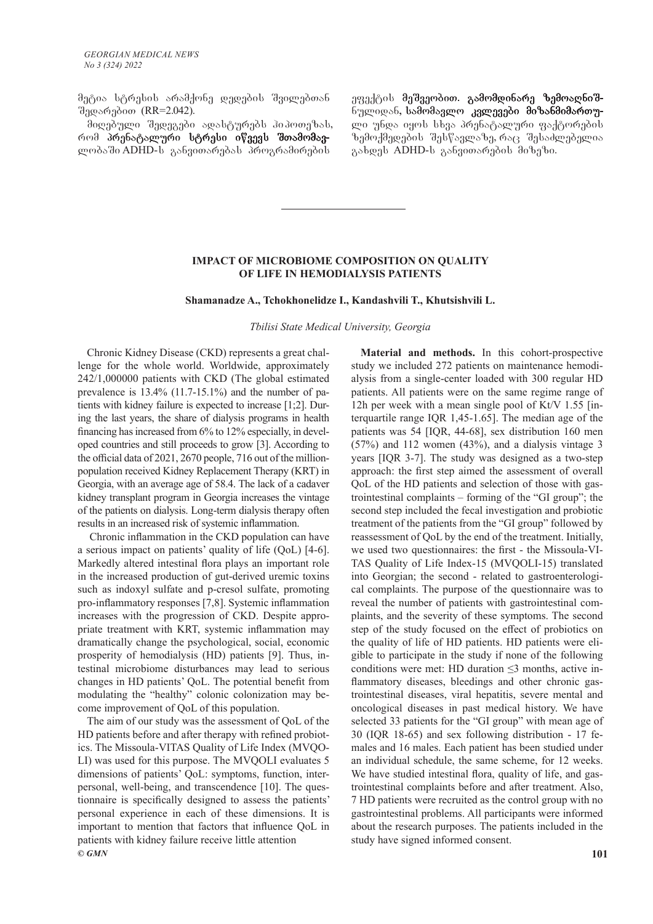მეტია სტრესის არამქონე დედების შვილებთან შედარებით (RR=2.042).

მიღებული შედეგები ადასტურებს პიპოთეზას, რომ პრუნატალური სტრუსი იწვევს შთამომავლობაში ADHD-ს განვითარებას პროგრამირების

ეფექტის მეშვეობით. გამომდინარე ზემოადნიშნულიდან, სამომავლო კვლევები მიზანმიმართული უნდა იყოს სხვა პრენატალური ფაქტორების  $\delta$ ემოქმედების შესწავლაზე, რაც შესაძლებელია გახდეს ADHD-ს განვითარების მიზეზი.

#### **IMPACT OF MICROBIOME COMPOSITION ON QUALITY OF LIFE IN HEMODIALYSIS PATIENTS**

#### **Shamanadze A., Tchokhonelidze I., Kandashvili T., Khutsishvili L.**

*Tbilisi State Medical University, Georgia*

Chronic Kidney Disease (CKD) represents a great challenge for the whole world. Worldwide, approximately 242/1,000000 patients with CKD (The global estimated prevalence is 13.4% (11.7-15.1%) and the number of patients with kidney failure is expected to increase [1;2]. During the last years, the share of dialysis programs in health financing has increased from 6% to 12% especially, in developed countries and still proceeds to grow [3]. According to the official data of 2021, 2670 people, 716 out of the millionpopulation received Kidney Replacement Therapy (KRT) in Georgia, with an average age of 58.4. The lack of a cadaver kidney transplant program in Georgia increases the vintage of the patients on dialysis. Long-term dialysis therapy often results in an increased risk of systemic inflammation.

 Chronic inflammation in the CKD population can have a serious impact on patients' quality of life (QoL) [4-6]. Markedly altered intestinal flora plays an important role in the increased production of gut-derived uremic toxins such as indoxyl sulfate and p-cresol sulfate, promoting pro-inflammatory responses [7,8]. Systemic inflammation increases with the progression of CKD. Despite appropriate treatment with KRT, systemic inflammation may dramatically change the psychological, social, economic prosperity of hemodialysis (HD) patients [9]. Thus, intestinal microbiome disturbances may lead to serious changes in HD patients' QoL. The potential benefit from modulating the "healthy" colonic colonization may become improvement of QoL of this population.

*© GMN* **101** The aim of our study was the assessment of QoL of the HD patients before and after therapy with refined probiotics. The Missoula-VITAS Quality of Life Index (MVQO-LI) was used for this purpose. The MVQOLI evaluates 5 dimensions of patients' QoL: symptoms, function, interpersonal, well-being, and transcendence [10]. The questionnaire is specifically designed to assess the patients' personal experience in each of these dimensions. It is important to mention that factors that influence QoL in patients with kidney failure receive little attention

**Material and methods.** In this cohort-prospective study we included 272 patients on maintenance hemodialysis from a single-center loaded with 300 regular HD patients. All patients were on the same regime range of 12h per week with a mean single pool of Kt/V 1.55 [interquartile range IQR 1,45-1.65]. The median age of the patients was 54 [IQR, 44-68], sex distribution 160 men (57%) and 112 women (43%), and a dialysis vintage 3 years [IQR 3-7]. The study was designed as a two-step approach: the first step aimed the assessment of overall QoL of the HD patients and selection of those with gastrointestinal complaints – forming of the "GI group"; the second step included the fecal investigation and probiotic treatment of the patients from the "GI group" followed by reassessment of QoL by the end of the treatment. Initially, we used two questionnaires: the first - the Missoula-VI-TAS Quality of Life Index-15 (MVQOLI-15) translated into Georgian; the second - related to gastroenterological complaints. The purpose of the questionnaire was to reveal the number of patients with gastrointestinal complaints, and the severity of these symptoms. The second step of the study focused on the effect of probiotics on the quality of life of HD patients. HD patients were eligible to participate in the study if none of the following conditions were met: HD duration ≤3 months, active inflammatory diseases, bleedings and other chronic gastrointestinal diseases, viral hepatitis, severe mental and oncological diseases in past medical history. We have selected 33 patients for the "GI group" with mean age of 30 (IQR 18-65) and sex following distribution - 17 females and 16 males. Each patient has been studied under an individual schedule, the same scheme, for 12 weeks. We have studied intestinal flora, quality of life, and gastrointestinal complaints before and after treatment. Also, 7 HD patients were recruited as the control group with no gastrointestinal problems. All participants were informed about the research purposes. The patients included in the study have signed informed consent.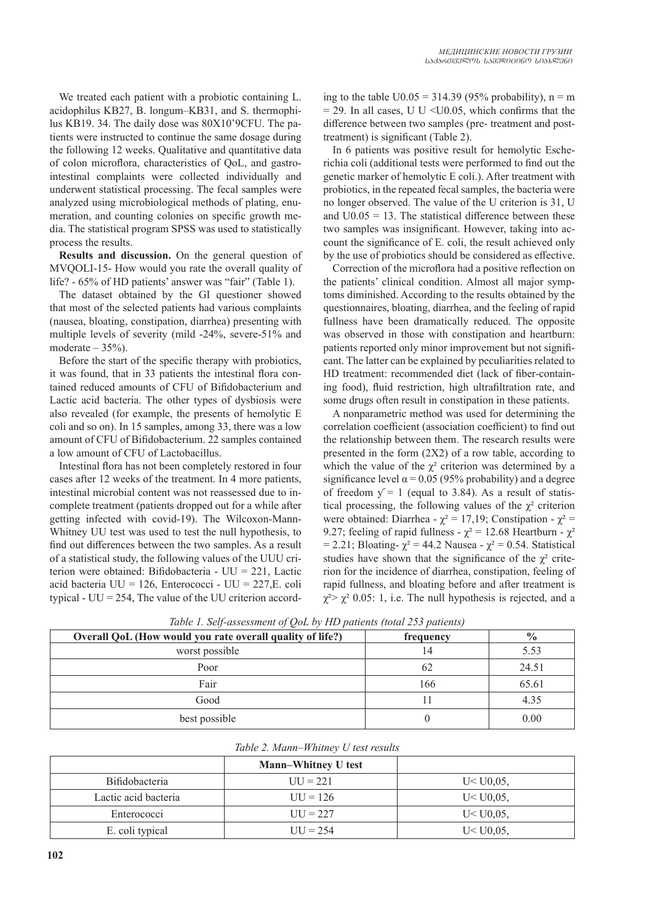We treated each patient with a probiotic containing L. acidophilus KB27, B. longum–KB31, and S. thermophilus KB19. 34. The daily dose was 80X10'9CFU. The patients were instructed to continue the same dosage during the following 12 weeks. Qualitative and quantitative data of colon microflora, characteristics of QoL, and gastrointestinal complaints were collected individually and underwent statistical processing. The fecal samples were analyzed using microbiological methods of plating, enumeration, and counting colonies on specific growth media. The statistical program SPSS was used to statistically process the results.

**Results and discussion.** On the general question of MVQOLI-15- How would you rate the overall quality of life? - 65% of HD patients' answer was "fair" (Table 1).

The dataset obtained by the GI questioner showed that most of the selected patients had various complaints (nausea, bloating, constipation, diarrhea) presenting with multiple levels of severity (mild -24%, severe-51% and moderate  $-35%$ ).

Before the start of the specific therapy with probiotics, it was found, that in 33 patients the intestinal flora contained reduced amounts of CFU of Bifidobacterium and Lactic acid bacteria. The other types of dysbiosis were also revealed (for example, the presents of hemolytic E coli and so on). In 15 samples, among 33, there was a low amount of CFU of Bifidobacterium. 22 samples contained a low amount of CFU of Lactobacillus.

Intestinal flora has not been completely restored in four cases after 12 weeks of the treatment. In 4 more patients, intestinal microbial content was not reassessed due to incomplete treatment (patients dropped out for a while after getting infected with covid-19). The Wilcoxon-Mann-Whitney UU test was used to test the null hypothesis, to find out differences between the two samples. As a result of a statistical study, the following values of the UUU criterion were obtained: Bifidobacteria - UU = 221, Lactic acid bacteria UU = 126, Enterococci - UU = 227,E. coli typical -  $UU = 254$ , The value of the UU criterion according to the table  $U0.05 = 314.39$  (95% probability), n = m  $= 29$ . In all cases, U U <U0.05, which confirms that the difference between two samples (pre- treatment and posttreatment) is significant (Table 2).

In 6 patients was positive result for hemolytic Escherichia coli (additional tests were performed to find out the genetic marker of hemolytic E coli.). After treatment with probiotics, in the repeated fecal samples, the bacteria were no longer observed. The value of the U criterion is 31, U and  $U0.05 = 13$ . The statistical difference between these two samples was insignificant. However, taking into account the significance of E. coli, the result achieved only by the use of probiotics should be considered as effective.

Correction of the microflora had a positive reflection on the patients' clinical condition. Almost all major symptoms diminished. According to the results obtained by the questionnaires, bloating, diarrhea, and the feeling of rapid fullness have been dramatically reduced. The opposite was observed in those with constipation and heartburn: patients reported only minor improvement but not significant. The latter can be explained by peculiarities related to HD treatment: recommended diet (lack of fiber-containing food), fluid restriction, high ultrafiltration rate, and some drugs often result in constipation in these patients.

A nonparametric method was used for determining the correlation coefficient (association coefficient) to find out the relationship between them. The research results were presented in the form (2X2) of a row table, according to which the value of the  $\chi^2$  criterion was determined by a significance level  $\alpha$  = 0.05 (95% probability) and a degree of freedom  $y = 1$  (equal to 3.84). As a result of statistical processing, the following values of the  $\chi^2$  criterion were obtained: Diarrhea -  $\chi^2 = 17,19$ ; Constipation -  $\chi^2 =$ 9.27; feeling of rapid fullness -  $\chi^2$  = 12.68 Heartburn -  $\chi^2$ = 2.21; Bloating-  $\chi^2$  = 44.2 Nausea -  $\chi^2$  = 0.54. Statistical studies have shown that the significance of the  $\chi^2$  criterion for the incidence of diarrhea, constipation, feeling of rapid fullness, and bloating before and after treatment is  $\chi^2 > \chi^2$  0.05: 1, i.e. The null hypothesis is rejected, and a

| Overall QoL (How would you rate overall quality of life?) | frequency | $\frac{6}{10}$ |
|-----------------------------------------------------------|-----------|----------------|
| worst possible                                            | 14        | 5.53           |
| Poor                                                      | 62        | 24.51          |
| Fair                                                      | 166       | 65.61          |
| Good                                                      |           | 4.35           |
| best possible                                             |           | 0.00           |

*Table 1. Self-assessment of QoL by HD patients (total 253 patients)* 

| Table 2. Mann–Whitney U test results |                            |             |  |
|--------------------------------------|----------------------------|-------------|--|
|                                      | <b>Mann–Whitney U test</b> |             |  |
| Bifidobacteria                       | $UU = 221$                 | U < U(0.05, |  |
| Lactic acid bacteria                 | $UU = 126$                 | U < U(0.05, |  |
| Enterococci                          | $UU = 227$                 | U < U(0.05, |  |
| E. coli typical                      | $UU = 254$                 | U < U(0.05, |  |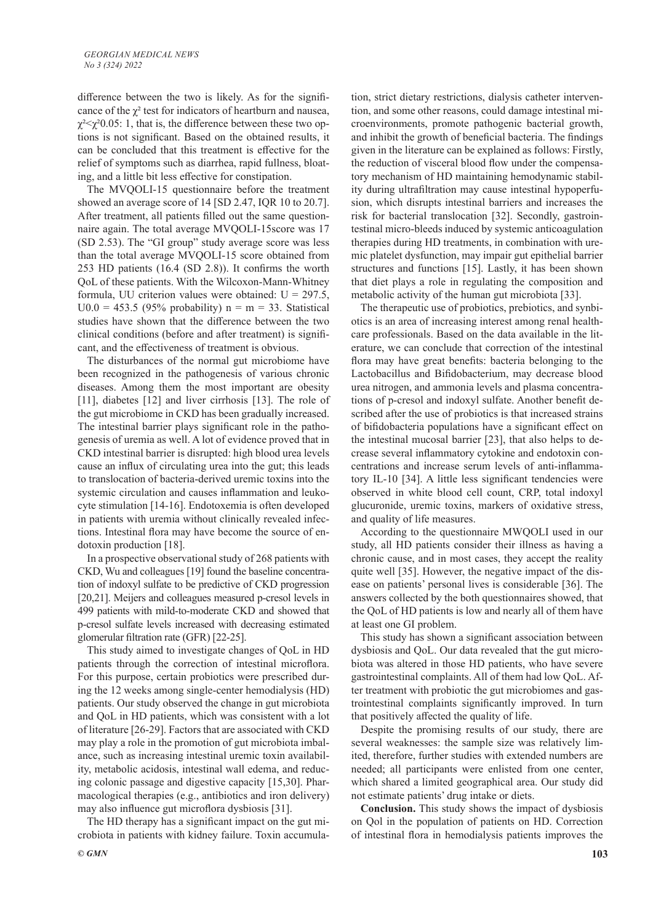difference between the two is likely. As for the significance of the  $\chi^2$  test for indicators of heartburn and nausea,  $\chi^2$  <  $\chi^2$  0.05: 1, that is, the difference between these two options is not significant. Based on the obtained results, it can be concluded that this treatment is effective for the relief of symptoms such as diarrhea, rapid fullness, bloating, and a little bit less effective for constipation.

The MVQOLI-15 questionnaire before the treatment showed an average score of 14 [SD 2.47, IQR 10 to 20.7]. After treatment, all patients filled out the same questionnaire again. The total average MVQOLI-15score was 17 (SD 2.53). The "GI group" study average score was less than the total average MVQOLI-15 score obtained from 253 HD patients (16.4 (SD 2.8)). It confirms the worth QoL of these patients. With the Wilcoxon-Mann-Whitney formula, UU criterion values were obtained:  $U = 297.5$ ,  $U0.0 = 453.5$  (95% probability) n = m = 33. Statistical studies have shown that the difference between the two clinical conditions (before and after treatment) is significant, and the effectiveness of treatment is obvious.

The disturbances of the normal gut microbiome have been recognized in the pathogenesis of various chronic diseases. Among them the most important are obesity [11], diabetes [12] and liver cirrhosis [13]. The role of the gut microbiome in CKD has been gradually increased. The intestinal barrier plays significant role in the pathogenesis of uremia as well. A lot of evidence proved that in CKD intestinal barrier is disrupted: high blood urea levels cause an influx of circulating urea into the gut; this leads to translocation of bacteria-derived uremic toxins into the systemic circulation and causes inflammation and leukocyte stimulation [14-16]. Endotoxemia is often developed in patients with uremia without clinically revealed infections. Intestinal flora may have become the source of endotoxin production [18].

In a prospective observational study of 268 patients with CKD, Wu and colleagues [19] found the baseline concentration of indoxyl sulfate to be predictive of CKD progression [20,21]. Meijers and colleagues measured p-cresol levels in 499 patients with mild-to-moderate CKD and showed that p-cresol sulfate levels increased with decreasing estimated glomerular filtration rate (GFR) [22-25].

This study aimed to investigate changes of QoL in HD patients through the correction of intestinal microflora. For this purpose, certain probiotics were prescribed during the 12 weeks among single-center hemodialysis (HD) patients. Our study observed the change in gut microbiota and QoL in HD patients, which was consistent with a lot of literature [26-29]. Factors that are associated with CKD may play a role in the promotion of gut microbiota imbalance, such as increasing intestinal uremic toxin availability, metabolic acidosis, intestinal wall edema, and reducing colonic passage and digestive capacity [15,30]. Pharmacological therapies (e.g., antibiotics and iron delivery) may also influence gut microflora dysbiosis [31].

The HD therapy has a significant impact on the gut microbiota in patients with kidney failure. Toxin accumulation, strict dietary restrictions, dialysis catheter intervention, and some other reasons, could damage intestinal microenvironments, promote pathogenic bacterial growth, and inhibit the growth of beneficial bacteria. The findings given in the literature can be explained as follows: Firstly, the reduction of visceral blood flow under the compensatory mechanism of HD maintaining hemodynamic stability during ultrafiltration may cause intestinal hypoperfusion, which disrupts intestinal barriers and increases the risk for bacterial translocation [32]. Secondly, gastrointestinal micro-bleeds induced by systemic anticoagulation therapies during HD treatments, in combination with uremic platelet dysfunction, may impair gut epithelial barrier structures and functions [15]. Lastly, it has been shown that diet plays a role in regulating the composition and metabolic activity of the human gut microbiota [33].

The therapeutic use of probiotics, prebiotics, and synbiotics is an area of increasing interest among renal healthcare professionals. Based on the data available in the literature, we can conclude that correction of the intestinal flora may have great benefits: bacteria belonging to the Lactobacillus and Bifidobacterium, may decrease blood urea nitrogen, and ammonia levels and plasma concentrations of p-cresol and indoxyl sulfate. Another benefit described after the use of probiotics is that increased strains of bifidobacteria populations have a significant effect on the intestinal mucosal barrier [23], that also helps to decrease several inflammatory cytokine and endotoxin concentrations and increase serum levels of anti-inflammatory IL-10 [34]. A little less significant tendencies were observed in white blood cell count, CRP, total indoxyl glucuronide, uremic toxins, markers of oxidative stress, and quality of life measures.

According to the questionnaire MWQOLI used in our study, all HD patients consider their illness as having a chronic cause, and in most cases, they accept the reality quite well [35]. However, the negative impact of the disease on patients' personal lives is considerable [36]. The answers collected by the both questionnaires showed, that the QoL of HD patients is low and nearly all of them have at least one GI problem.

This study has shown a significant association between dysbiosis and QoL. Our data revealed that the gut microbiota was altered in those HD patients, who have severe gastrointestinal complaints. All of them had low QoL. After treatment with probiotic the gut microbiomes and gastrointestinal complaints significantly improved. In turn that positively affected the quality of life.

Despite the promising results of our study, there are several weaknesses: the sample size was relatively limited, therefore, further studies with extended numbers are needed; all participants were enlisted from one center, which shared a limited geographical area. Our study did not estimate patients' drug intake or diets.

**Conclusion.** This study shows the impact of dysbiosis on Qol in the population of patients on HD. Correction of intestinal flora in hemodialysis patients improves the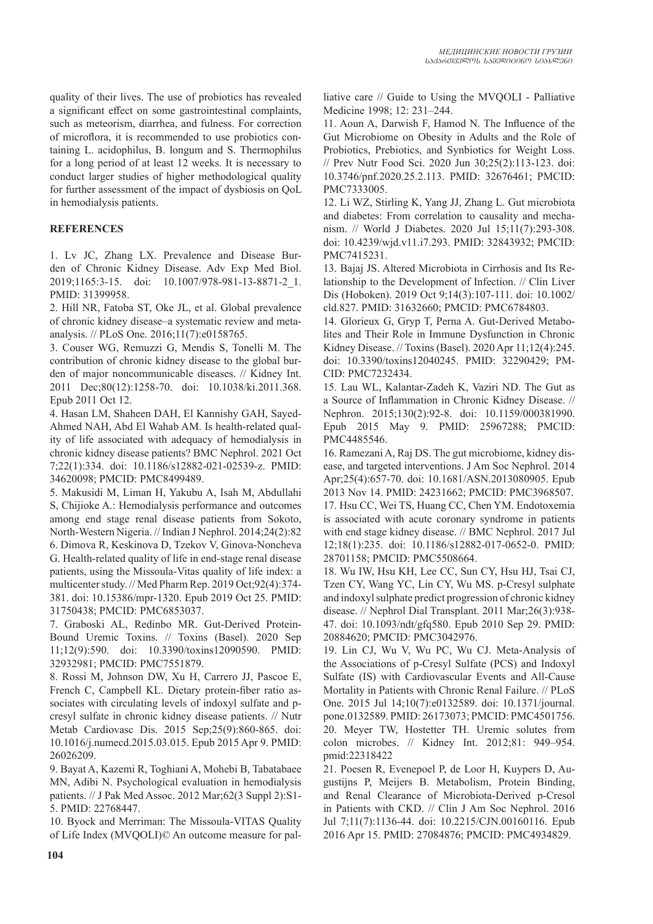quality of their lives. The use of probiotics has revealed a significant effect on some gastrointestinal complaints, such as meteorism, diarrhea, and fulness. For correction of microflora, it is recommended to use probiotics containing L. acidophilus, B. longum and S. Thermophilus for a long period of at least 12 weeks. It is necessary to conduct larger studies of higher methodological quality for further assessment of the impact of dysbiosis on QoL in hemodialysis patients.

# **REFERENCES**

1. Lv JC, Zhang LX. Prevalence and Disease Burden of Chronic Kidney Disease. Adv Exp Med Biol. 2019;1165:3-15. doi: 10.1007/978-981-13-8871-2\_1. PMID: 31399958.

2. Hill NR, Fatoba ST, Oke JL, et al. Global prevalence of chronic kidney disease–a systematic review and metaanalysis. // PLoS One. 2016;11(7):e0158765.

3. Couser WG, Remuzzi G, Mendis S, Tonelli M. The contribution of chronic kidney disease to the global burden of major noncommunicable diseases. // Kidney Int. 2011 Dec;80(12):1258-70. doi: 10.1038/ki.2011.368. Epub 2011 Oct 12.

4. Hasan LM, Shaheen DAH, El Kannishy GAH, Sayed-Ahmed NAH, Abd El Wahab AM. Is health-related quality of life associated with adequacy of hemodialysis in chronic kidney disease patients? BMC Nephrol. 2021 Oct 7;22(1):334. doi: 10.1186/s12882-021-02539-z. PMID: 34620098; PMCID: PMC8499489.

5. Makusidi M, Liman H, Yakubu A, Isah M, Abdullahi S, Chijioke A.: Hemodialysis performance and outcomes among end stage renal disease patients from Sokoto, North-Western Nigeria. // Indian J Nephrol. 2014;24(2):82 6. Dimova R, Keskinova D, Tzekov V, Ginova-Noncheva G. Health-related quality of life in end-stage renal disease patients, using the Missoula-Vitas quality of life index: a multicenter study. // Med Pharm Rep. 2019 Oct;92(4):374- 381. doi: 10.15386/mpr-1320. Epub 2019 Oct 25. PMID: 31750438; PMCID: PMC6853037.

7. Graboski AL, Redinbo MR. Gut-Derived Protein-Bound Uremic Toxins. // Toxins (Basel). 2020 Sep 11;12(9):590. doi: 10.3390/toxins12090590. PMID: 32932981; PMCID: PMC7551879.

8. Rossi M, Johnson DW, Xu H, Carrero JJ, Pascoe E, French C, Campbell KL. Dietary protein-fiber ratio associates with circulating levels of indoxyl sulfate and pcresyl sulfate in chronic kidney disease patients. // Nutr Metab Cardiovasc Dis. 2015 Sep;25(9):860-865. doi: 10.1016/j.numecd.2015.03.015. Epub 2015 Apr 9. PMID: 26026209.

9. Bayat A, Kazemi R, Toghiani A, Mohebi B, Tabatabaee MN, Adibi N. Psychological evaluation in hemodialysis patients. // J Pak Med Assoc. 2012 Mar;62(3 Suppl 2):S1- 5. PMID: 22768447.

10. Byock and Merriman: The Missoula-VITAS Quality of Life Index (MVQOLI)© An outcome measure for palliative care // Guide to Using the MVQOLI - Palliative Medicine 1998; 12: 231–244.

11. Aoun A, Darwish F, Hamod N. The Influence of the Gut Microbiome on Obesity in Adults and the Role of Probiotics, Prebiotics, and Synbiotics for Weight Loss. // Prev Nutr Food Sci. 2020 Jun 30;25(2):113-123. doi: 10.3746/pnf.2020.25.2.113. PMID: 32676461; PMCID: PMC7333005.

12. Li WZ, Stirling K, Yang JJ, Zhang L. Gut microbiota and diabetes: From correlation to causality and mechanism. // World J Diabetes. 2020 Jul 15;11(7):293-308. doi: 10.4239/wjd.v11.i7.293. PMID: 32843932; PMCID: PMC7415231.

13. Bajaj JS. Altered Microbiota in Cirrhosis and Its Relationship to the Development of Infection. // Clin Liver Dis (Hoboken). 2019 Oct 9;14(3):107-111. doi: 10.1002/ cld.827. PMID: 31632660; PMCID: PMC6784803.

14. Glorieux G, Gryp T, Perna A. Gut-Derived Metabolites and Their Role in Immune Dysfunction in Chronic Kidney Disease. // Toxins (Basel). 2020 Apr 11;12(4):245. doi: 10.3390/toxins12040245. PMID: 32290429; PM-CID: PMC7232434.

15. Lau WL, Kalantar-Zadeh K, Vaziri ND. The Gut as a Source of Inflammation in Chronic Kidney Disease. // Nephron. 2015;130(2):92-8. doi: 10.1159/000381990. Epub 2015 May 9. PMID: 25967288; PMCID: PMC4485546.

16. Ramezani A, Raj DS. The gut microbiome, kidney disease, and targeted interventions. J Am Soc Nephrol. 2014 Apr;25(4):657-70. doi: 10.1681/ASN.2013080905. Epub 2013 Nov 14. PMID: 24231662; PMCID: PMC3968507. 17. Hsu CC, Wei TS, Huang CC, Chen YM. Endotoxemia is associated with acute coronary syndrome in patients with end stage kidney disease. // BMC Nephrol. 2017 Jul 12;18(1):235. doi: 10.1186/s12882-017-0652-0. PMID: 28701158; PMCID: PMC5508664.

18. Wu IW, Hsu KH, Lee CC, Sun CY, Hsu HJ, Tsai CJ, Tzen CY, Wang YC, Lin CY, Wu MS. p-Cresyl sulphate and indoxyl sulphate predict progression of chronic kidney disease. // Nephrol Dial Transplant. 2011 Mar;26(3):938- 47. doi: 10.1093/ndt/gfq580. Epub 2010 Sep 29. PMID: 20884620; PMCID: PMC3042976.

19. Lin CJ, Wu V, Wu PC, Wu CJ. Meta-Analysis of the Associations of p-Cresyl Sulfate (PCS) and Indoxyl Sulfate (IS) with Cardiovascular Events and All-Cause Mortality in Patients with Chronic Renal Failure. // PLoS One. 2015 Jul 14;10(7):e0132589. doi: 10.1371/journal. pone.0132589. PMID: 26173073; PMCID: PMC4501756. 20. Meyer TW, Hostetter TH. Uremic solutes from colon microbes. // Kidney Int. 2012;81: 949–954. pmid:22318422

21. Poesen R, Evenepoel P, de Loor H, Kuypers D, Augustijns P, Meijers B. Metabolism, Protein Binding, and Renal Clearance of Microbiota-Derived p-Cresol in Patients with CKD. // Clin J Am Soc Nephrol. 2016 Jul 7;11(7):1136-44. doi: 10.2215/CJN.00160116. Epub 2016 Apr 15. PMID: 27084876; PMCID: PMC4934829.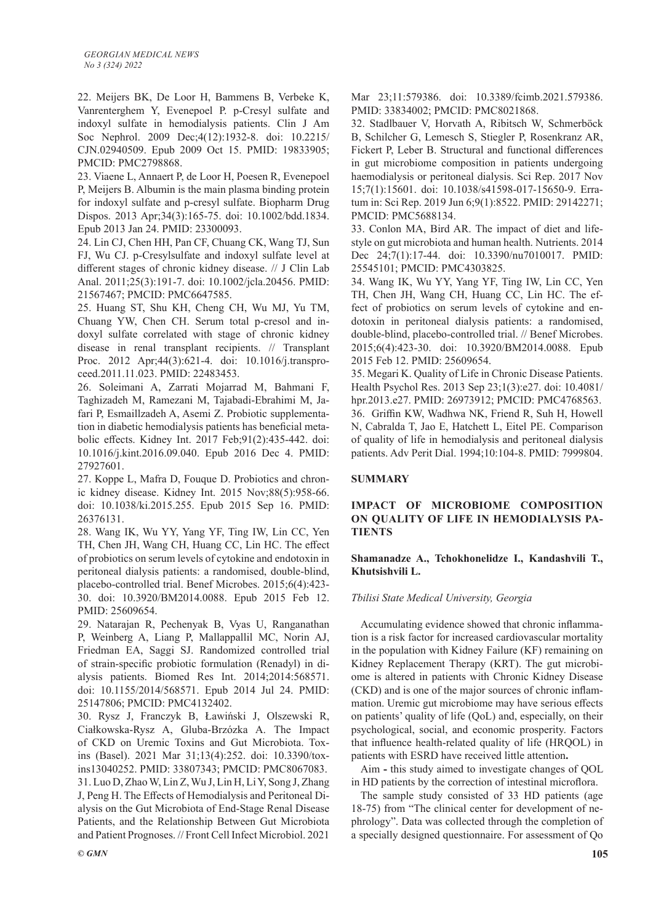22. Meijers BK, De Loor H, Bammens B, Verbeke K, Vanrenterghem Y, Evenepoel P. p-Cresyl sulfate and indoxyl sulfate in hemodialysis patients. Clin J Am Soc Nephrol. 2009 Dec;4(12):1932-8. doi: 10.2215/ CJN.02940509. Epub 2009 Oct 15. PMID: 19833905; PMCID: PMC2798868.

23. Viaene L, Annaert P, de Loor H, Poesen R, Evenepoel P, Meijers B. Albumin is the main plasma binding protein for indoxyl sulfate and p-cresyl sulfate. Biopharm Drug Dispos. 2013 Apr;34(3):165-75. doi: 10.1002/bdd.1834. Epub 2013 Jan 24. PMID: 23300093.

24. Lin CJ, Chen HH, Pan CF, Chuang CK, Wang TJ, Sun FJ, Wu CJ. p-Cresylsulfate and indoxyl sulfate level at different stages of chronic kidney disease. // J Clin Lab Anal. 2011;25(3):191-7. doi: 10.1002/jcla.20456. PMID: 21567467; PMCID: PMC6647585.

25. Huang ST, Shu KH, Cheng CH, Wu MJ, Yu TM, Chuang YW, Chen CH. Serum total p-cresol and indoxyl sulfate correlated with stage of chronic kidney disease in renal transplant recipients. // Transplant Proc. 2012 Apr;44(3):621-4. doi: 10.1016/j.transproceed.2011.11.023. PMID: 22483453.

26. Soleimani A, Zarrati Mojarrad M, Bahmani F, Taghizadeh M, Ramezani M, Tajabadi-Ebrahimi M, Jafari P, Esmaillzadeh A, Asemi Z. Probiotic supplementation in diabetic hemodialysis patients has beneficial metabolic effects. Kidney Int. 2017 Feb;91(2):435-442. doi: 10.1016/j.kint.2016.09.040. Epub 2016 Dec 4. PMID: 27927601.

27. Koppe L, Mafra D, Fouque D. Probiotics and chronic kidney disease. Kidney Int. 2015 Nov;88(5):958-66. doi: 10.1038/ki.2015.255. Epub 2015 Sep 16. PMID: 26376131.

28. Wang IK, Wu YY, Yang YF, Ting IW, Lin CC, Yen TH, Chen JH, Wang CH, Huang CC, Lin HC. The effect of probiotics on serum levels of cytokine and endotoxin in peritoneal dialysis patients: a randomised, double-blind, placebo-controlled trial. Benef Microbes. 2015;6(4):423- 30. doi: 10.3920/BM2014.0088. Epub 2015 Feb 12. PMID: 25609654.

29. Natarajan R, Pechenyak B, Vyas U, Ranganathan P, Weinberg A, Liang P, Mallappallil MC, Norin AJ, Friedman EA, Saggi SJ. Randomized controlled trial of strain-specific probiotic formulation (Renadyl) in dialysis patients. Biomed Res Int. 2014;2014:568571. doi: 10.1155/2014/568571. Epub 2014 Jul 24. PMID: 25147806; PMCID: PMC4132402.

30. Rysz J, Franczyk B, Ławiński J, Olszewski R, Ciałkowska-Rysz A, Gluba-Brzózka A. The Impact of CKD on Uremic Toxins and Gut Microbiota. Toxins (Basel). 2021 Mar 31;13(4):252. doi: 10.3390/toxins13040252. PMID: 33807343; PMCID: PMC8067083. 31. Luo D, Zhao W, Lin Z, Wu J, Lin H, Li Y, Song J, Zhang J, Peng H. The Effects of Hemodialysis and Peritoneal Dialysis on the Gut Microbiota of End-Stage Renal Disease Patients, and the Relationship Between Gut Microbiota and Patient Prognoses. // Front Cell Infect Microbiol. 2021 Mar 23;11:579386. doi: 10.3389/fcimb.2021.579386. PMID: 33834002; PMCID: PMC8021868.

32. Stadlbauer V, Horvath A, Ribitsch W, Schmerböck B, Schilcher G, Lemesch S, Stiegler P, Rosenkranz AR, Fickert P, Leber B. Structural and functional differences in gut microbiome composition in patients undergoing haemodialysis or peritoneal dialysis. Sci Rep. 2017 Nov 15;7(1):15601. doi: 10.1038/s41598-017-15650-9. Erratum in: Sci Rep. 2019 Jun 6;9(1):8522. PMID: 29142271; PMCID: PMC5688134.

33. Conlon MA, Bird AR. The impact of diet and lifestyle on gut microbiota and human health. Nutrients. 2014 Dec 24;7(1):17-44. doi: 10.3390/nu7010017. PMID: 25545101; PMCID: PMC4303825.

34. Wang IK, Wu YY, Yang YF, Ting IW, Lin CC, Yen TH, Chen JH, Wang CH, Huang CC, Lin HC. The effect of probiotics on serum levels of cytokine and endotoxin in peritoneal dialysis patients: a randomised, double-blind, placebo-controlled trial. // Benef Microbes. 2015;6(4):423-30. doi: 10.3920/BM2014.0088. Epub 2015 Feb 12. PMID: 25609654.

35. Megari K. Quality of Life in Chronic Disease Patients. Health Psychol Res. 2013 Sep 23;1(3):e27. doi: 10.4081/ hpr.2013.e27. PMID: 26973912; PMCID: PMC4768563. 36. Griffin KW, Wadhwa NK, Friend R, Suh H, Howell N, Cabralda T, Jao E, Hatchett L, Eitel PE. Comparison of quality of life in hemodialysis and peritoneal dialysis patients. Adv Perit Dial. 1994;10:104-8. PMID: 7999804.

## **SUMMARY**

# **IMPACT OF MICROBIOME COMPOSITION ON QUALITY OF LIFE IN HEMODIALYSIS PA-TIENTS**

## **Shamanadze A., Tchokhonelidze I., Kandashvili T., Khutsishvili L.**

## *Tbilisi State Medical University, Georgia*

Accumulating evidence showed that chronic inflammation is a risk factor for increased cardiovascular mortality in the population with Kidney Failure (KF) remaining on Kidney Replacement Therapy (KRT). The gut microbiome is altered in patients with Chronic Kidney Disease (CKD) and is one of the major sources of chronic inflammation. Uremic gut microbiome may have serious effects on patients' quality of life (QoL) and, especially, on their psychological, social, and economic prosperity. Factors that influence health-related quality of life (HRQOL) in patients with ESRD have received little attention**.** 

Aim **-** this study aimed to investigate changes of QOL in HD patients by the correction of intestinal microflora.

The sample study consisted of 33 HD patients (age 18-75) from "The clinical center for development of nephrology". Data was collected through the completion of a specially designed questionnaire. For assessment of Qo